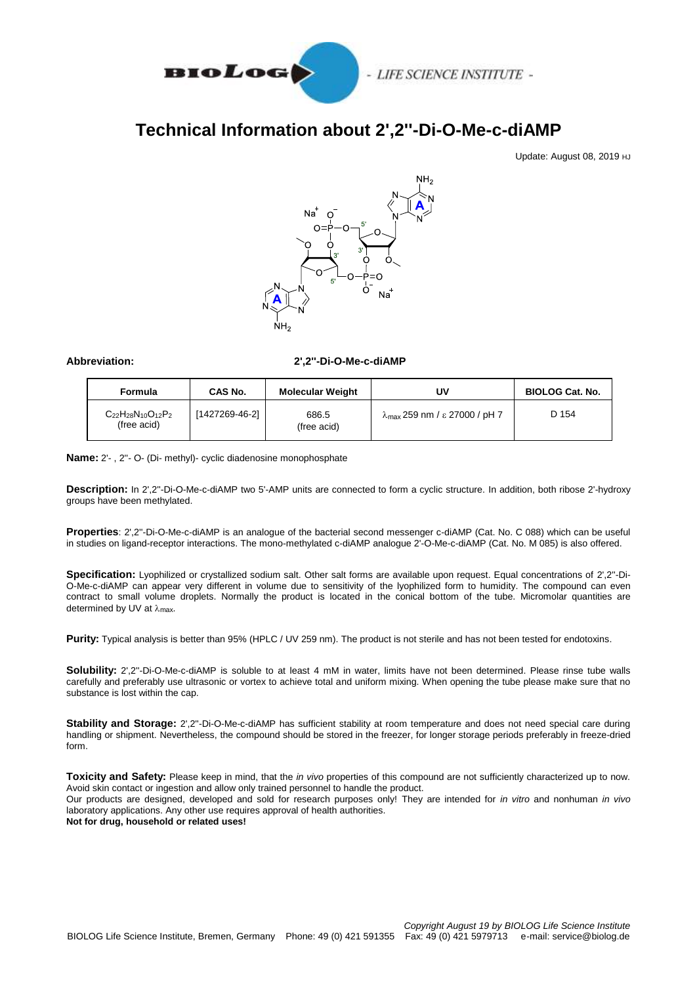

## **Technical Information about 2',2''-Di-O-Me-c-diAMP**

Update: August 08, 2019 HJ



## **Abbreviation: 2',2''-Di-O-Me-c-diAMP**

| Formula                                      | CAS No.        | <b>Molecular Weight</b> | U٧                                             | <b>BIOLOG Cat. No.</b> |
|----------------------------------------------|----------------|-------------------------|------------------------------------------------|------------------------|
| $C_{22}H_{28}N_{10}O_{12}P_2$<br>(free acid) | [1427269-46-2] | 686.5<br>(free acid)    | $\lambda_{\text{max}}$ 259 nm / ε 27000 / pH 7 | D 154                  |

**Name:** 2'- , 2''- O- (Di- methyl)- cyclic diadenosine monophosphate

**Description:** In 2',2''-Di-O-Me-c-diAMP two 5'-AMP units are connected to form a cyclic structure. In addition, both ribose 2'-hydroxy groups have been methylated.

**Properties**: 2',2''-Di-O-Me-c-diAMP is an analogue of the bacterial second messenger c-diAMP (Cat. No. C 088) which can be useful in studies on ligand-receptor interactions. The mono-methylated c-diAMP analogue 2'-O-Me-c-diAMP (Cat. No. M 085) is also offered.

**Specification:** Lyophilized or crystallized sodium salt. Other salt forms are available upon request. Equal concentrations of 2',2''-Di-O-Me-c-diAMP can appear very different in volume due to sensitivity of the lyophilized form to humidity. The compound can even contract to small volume droplets. Normally the product is located in the conical bottom of the tube. Micromolar quantities are determined by UV at  $\lambda_{\text{max}}$ .

**Purity:** Typical analysis is better than 95% (HPLC / UV 259 nm). The product is not sterile and has not been tested for endotoxins.

**Solubility:** 2',2''-Di-O-Me-c-diAMP is soluble to at least 4 mM in water, limits have not been determined. Please rinse tube walls carefully and preferably use ultrasonic or vortex to achieve total and uniform mixing. When opening the tube please make sure that no substance is lost within the cap.

**Stability and Storage:** 2',2''-Di-O-Me-c-diAMP has sufficient stability at room temperature and does not need special care during handling or shipment. Nevertheless, the compound should be stored in the freezer, for longer storage periods preferably in freeze-dried form.

**Toxicity and Safety:** Please keep in mind, that the *in vivo* properties of this compound are not sufficiently characterized up to now. Avoid skin contact or ingestion and allow only trained personnel to handle the product. Our products are designed, developed and sold for research purposes only! They are intended for *in vitro* and nonhuman *in vivo* laboratory applications. Any other use requires approval of health authorities. **Not for drug, household or related uses!**